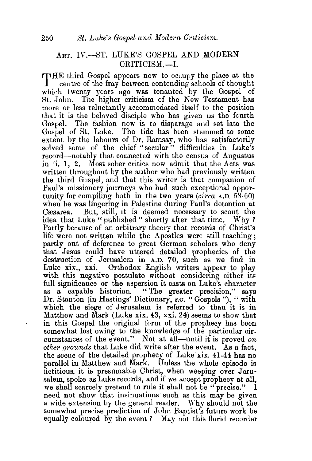## ART. IV.-ST. LUKE'S GOSPEL AND MODERN CRITICISM.-I.

THE third Gospel appears now to occupy the place at the centre of the fray between contending schools of thought which twenty years ago was tenanted by the Gospel of St. John. The higher criticism of the New Testament has more or less reluctantly accommodated itself to the position that it is the beloved disciple who has given us the fourth Gospel. The fashion now is to disparage and set late the Gospel of St. Luke. The tide has been stemmed to some extent by the labours of Dr. Ramsay, who has satisfactorily solved some of the chief "secular" difficulties in Luke's record—notably that connected with the census of Augustus in ii. 1, 2. Most sober critics now admit that the Acts was written throughout by the author who had previously written the third Gospel, and that this writer is that companion of Paul's missionary journeys who had such exceptional opportunity for compiling both in the two years *(circa* A.D. 58-60) when he was lingering in Palestine during Paul's detention at Cæsarea. But, still, it is deemed necessary to scout the idea that Luke " published " shortly after that time. Why ? Partly because of an arbitrary theory that records of Christ's life were not written while the Apostles were still teaching; partly out of deference to great German scholars who deny that Jesus could have uttered detailed prophecies of the destruction of Jerusalem in A.D. 70, such as we find in Luke xix., xxi. Orthodox English writers appear to play with this negative postulate without considering either its full significance or the aspersion it casts on Luke's character as a capable historian. " The greater precision," says Dr. Stanton (in Hastings' Dictionary, *s.v.* "Gospels"), " with which the siege of Jerusalem is referred to than it is in Matthew and Mark (Luke xix. 43, xxi. 24) seems to show that in this Gospel the original form of the prophecy has been somewhat lost owing to the knowledge of the particular circumstances of the event." Not at all—until it is proved on *other grounds* that Luke did write after the event. As a fact, the scene of the detailed prophecy of J.uke xix. 41-44 has no parallel in Matthew and Mark. Unless the whole episode is fictitious, it is presumable Christ, when weeping over Jerusalem, spoke as Luke records, and if we accept prophecy at all, we shall scarcely pretend to rule it shall not be "precise." I need not show that insinuations such as this may be given a wide extension by the general reader. Why should not the somewhat precise prediction of John Baptist's future work be equally coloured by the event? May not this florid recorder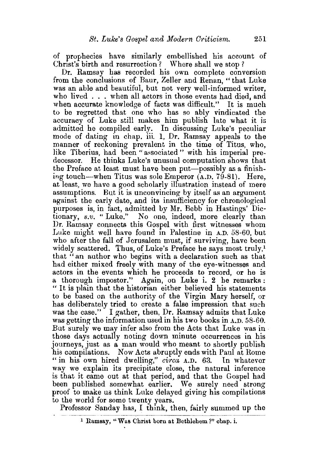of prophecies have similarly embellished his account of Christ's birth and resurrection? Where shall we stop ?

Dr. Ramsay has recorded his own complete conversion from the conclusions of Baur, Zeller and Renan, " that Luke was an able and beautiful, but not very well-informed writer, who lived ... when all actors in those events had died, and when accurate knowledge of facts was difficult." It is much to be regretted that one who has so ably vindicated the accuracy of Luke still makes him publish late what it is admitted he compiled early. In discussing Luke's peculiar mode of dating in chap. iii. 1, Dr. Ramsay appeals to the manner of reckoning prevalent in the time of Titus, who, like Tiberius, had been "associated " with his imperial predecessor. He thinks Luke's unusual computation shows that the Preface at least must have been put-possibly as a finishing touch-when Titus was sole Emperor (A.D. 79-81). Here, at least, we have a good scholarly illustration instead of mere assumptions. But it is unconvincing by itself as an argument against the early date, and its insufficiency for chronological purposes is, in fact, admitted by Mr. Bebb in Hastings' Dictionary, *s.v.* "Luke." No one, indeed, more clearly than Dr. Ramsay connects this Gospel with first witnesses whom Luke might well have found in Palestine in A.D. 58-60, but who after the fall of Jerusalem must, if surviving, have been widely scattered. Thus, of Luke's Preface he says most truly,<sup>1</sup> that "an author who begins with a declaration such as that had either mixed freely with many of the eye-witnesses and actors in the events which he proceeds to record, or he is a thorough impostor." Again, on Luke i. 2 he remarks: " It is plain that the historian either believed his statements to be based on the authority of the Virgin Mary herself, or has deliberately tried to create a false impression that such was the case." I gather, then, Dr. Ramsay admits that Luke was getting the information used in his two books in A.D. 58-60. But surely we may infer also from the Acts that Luke was in those days actually noting down minute occurrences in his journeys, just as a man would who meant to shortly publish his compilations. Now Acts abruptly ends with Paul at Rome "in his own hired dwelling," *circa* A.D. 63. In whatever way we explain its precipitate close, the natural inference is that it came out at that period, and that the Gospel had been published somewhat earlier. We surely need strong proof to make us think Luke delayed giving his compilations to the world for some twenty years.

Professor Sanday has, I think, then, fairly summed up the

1 Ramsay, "Was Christ born at Bethlehem?" chap. i.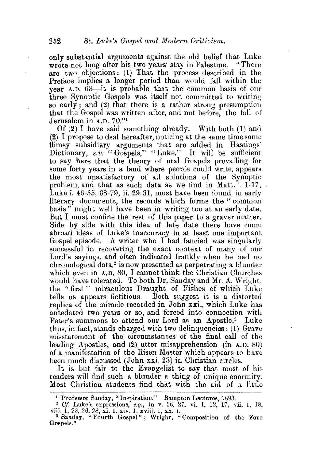only substantial arguments against the old belief that Luke<br>wrote not long after his two years' stay in Palestine. "There wrote not long after his two years' stay in Palestine. are two objections: (1) That the process described in the Preface implies a longer period than would fall within the year  $A.D. 63$ --it is probable that the common basis of our three Synoptic Gospels was itself not committed to writing so early; and (2) that there is a rather strong presumption that the Gospel was written after, and not before, the fall of Jerusalem in A.D. 70."1

Of  $(2)$  I have said something already. With both  $(1)$  and (2) I propose to deal hereafter, noticing at the same time some flimsy subsidiary arguments that are added in Hastings' Dictionary, *s.v.* "Gospels," "Luke." It will be sufficient to say here that the theory of oral Gospels prevailing for some forty years in a land where people could write, appears the most unsatisfactory of all solutions of the Synoptie problem, and that as such data as we find in Matt. i. 1-17, Luke i. 46-55, 68-79, ii. 29-31, must have been found in early literary documents, the records which forms the "common basis" might well have been in writing too at an early date. But I must confine the rest of this paper to a graver matter. Side by side with this idea of late date there have come abroad ideas of Luke's inaccuracy in at least one important Gospel episode. A writer who I had fancied was singularly successful in recovering the exact context of many of our Lord's sayings, and often indicated frankly when he had no chronological data,2 is now presented as perpetrating a blunder which even in A.D. 80, I cannot think the Christian Churches would have tolerated. To both Dr. Sanday and Mr. A. Wright, the " first " miraculous Draught of Fishes of which Luke tells us appears fictitious. Both suggest it is a distorted replica of the miracle recorded in John xxi., which Luke has antedated two years or so, and forced into connection with Peter's summons to attend our Lord as an Apostle.<sup>3</sup> Luke thus, in fact, stands charged with two delinquencies: (1) Gravu misstatement of the circumstances of the final call of the leading Apostles, and (2) utter misapprehension (in A.D. 80) of a manifestation of the Risen Master which appears to have been much discussed  $(John xxi. 23)$  in Christian circles.

It is but fair to the Evangelist to say that most of his readers will find such a blunder a thing of unique enormity. Most Christian students find that with the aid of a little

<sup>&</sup>lt;sup>1</sup> Professor Sanday, "Inspiration." Bampton Lectures, 1893.

<sup>2</sup>*Cf.* Luke's expressions, *e.g.,* in v. 16, 27, vi. 1, 12, 17, vii. 1, 18, viii. 1, 22, 26, 28, xi. 1, xiv. 1, xviii. 1, xx. 1.<br>\_<sup>3</sup> Sanday, "Fourth Gospel"; Wright, "Composition of the Four

Gospels."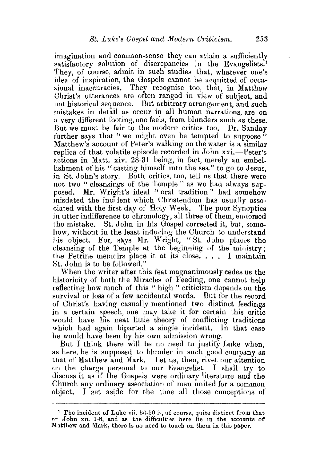imagination and common-sense they can attain a sufficiently satisfactory solution of discrepancies in the Evangelists.<sup>1</sup> They, of course, admit in such studies that, whatever one's idea of inspiration, the Gospels cannot be acquitted of occasional inaccuracies. They recognise too, that, in Matthew Christ's utterances are often ranged in view of subject, and not historical sequence. But arbitrary arrangement, and such mistakes in detail as occur in all human narrations, are on a very different footing, one feels, from blunders such as these. But we must be fair to the modern critics too. Dr. Sanday further says that "we might even be tempted to suppose" Matthew's account of Peter's walking on the water is a Similar replica of that volatile episode recorded in John xxi.—Peter's actions in Matt. xiv. 28-31 being, in fact, merely an embellishment of his "casting himself into the sea," to go to Jesus, in St. John's story. Both critics, too, tell us that there were not two "cleansings of the Temple" as we had always supposed. Mr. Wright's ideal "oral tradition" had somehow misdated the incident which Christendom has usually associated with the first day of Holy Week. The poor Synoptics in utter indifference to chronology, all three of them, ewlorsed the mistake. St. John in his Gospel corrected it, but, somehow, without in the least inducing the Church to understand his object. For, says Mr. Wright, "St. John places the cleansing of the Temple at the beginning of the ministry; the Petrine memoirs place it at its close.... I maintain St. John is to be followed."

When the writer after this feat magnanimously cedes us the historicity of both the Miracles of Feeding, one cannot help reflecting how much of this " high " criticism depends on the survival or loss of a few accidental words. But for the record of Christ's having casually mentioned two distinct feedings in a certain speech, one may take it for certain this critic would have his neat little theory of conflicting traditions which had again biparted a single incident. In that case l1e would have been by his own admission wrong.

But I think there will be no need to justify Luke when, as here, he is supposed to blunder in such good company as that of Matthew and Mark. Let us, then, rivet our attention on the charge personal to our Evangelist. I shall try to discuss it as if the Gospels were ordinary literature and the Church any ordinary association of men united for a common object. I set aside for the time all those conceptions of

<sup>&</sup>lt;sup>1</sup> The incident of Luke vii.  $36-50$  is, of course, quite distinct from that of John xii. 1-8, and as the difficulties here lie in the accounts of Matthew and Mark, there is no need to touch on them in this paper.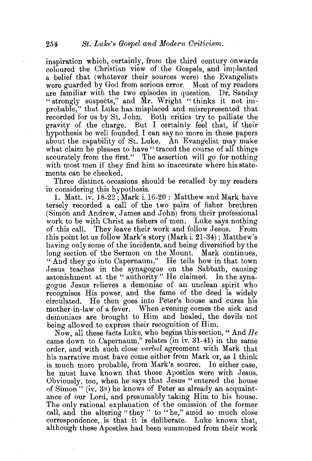inspiration which, certainly, from the third century onwards coloured the Christian view of the Gospels, and implanted a belief that (whatever their sources were) the Evangelists were guarded by God from serious error. Most of my readers are familiar with the two episodes in question. Dr. Sanday "strongly suspects," and Mr. Wright "thinks it not improbable," that Luke has misplaced and misrepresented that recorded for us by St. John. Both critics try to palliate the gravity of the charge. But I certainly feel that, if their hypothesis be well founded, I can say no more in these papers about the capability of St. Luke. An Evangelist may make what claim he pleases to have "traced the course of all things accurately from the first." The assertion will go for nothing with most men if they find him so inaccurate where his statements can be checked.

Three distinct occasions should be recalled by my readers in considering this hypothesis.

1. Matt. iv. 18-22; Mark i.16-20: Matthew and Mark have tersely recorded a call of the two pairs of fisher brethren (Simon and Andrew, James and John) from their professional work to be with Christ as fishers of men. Luke says nothing of this call. Thev leave their work and follow Jesus. From this point let us follow Mark's story (Mark i. 21-34); Matthew's having only some of the incidents, and being diversified by the long section of the Sermon on the Mount. Mark continues, " And they go into Capernaum." He tells how in that town Jesus teaches in the synagogue on the Sabbath, causing astonishment at the "authority" He claimed. In the synagogue Jesus relieves a demoniac of an unclean spirit who recognises His power, and the fame of the deed is widely circulated. He then goes into Peter's house and cures his mother-in-law of a fever. When evening comes the sick and demoniacs are brought to Him and healed, the devils not being allowed to express their recognition of Him.

Now, all these facts Luke, who begins this section," And *He*  came down to Capernaum," relates (in iv. 31-41) in the same order, and with such close *verbal* agreement with Mark that his narrative must have come either from Mark or, as I think is much more probable, from Mark's source. In either case, he must have known that those Apostles were with Jesus. Obviously, too, when he says that Jesus "entered the house of Simon" (iv. 3S) he knows of Peter as already an acquaintance of our Lord, and presumably taking Him to his house. The only rational explanation of the omission of the former call, and the altering "they " to "he," amid so much close correspondence, is that it is deliberate. Luke knows that, although these Apostles had been summoned from their work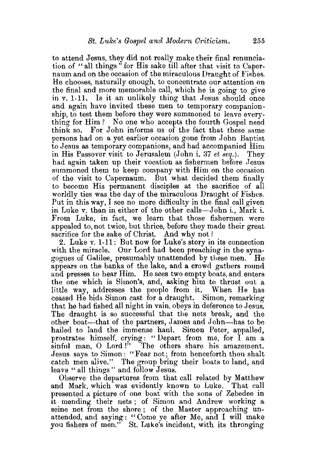to attend Jesus, they did not really make their final renunciation of "all things " for His sake till after that visit to Capernaum and on the occasion of the miraculous Draught of Fishes. He chooses, naturally enough, to concentrate our attention on the final and more memorable call, which he is going to give in v. 1-11. Is it an unlikely thing that Jesus should once and again have invited these men to temporary companionship, to test them before they were summoned to leave everything for Him? No one who accepts the fourth Gospel need think so. For John informs us of the fact that these same persons had on a yet earlier occasion gone from John Baptist to Jesus as temporary companions, and had accompanied Him in His Passover visit to Jerusalem (John i. 37 *et seq.).* They had again taken up their vocation as fishermen before Jesus summoned them to keep company with Him on the occasion of the visit to Capernaum. But what decided them finally to become His permanent disciples at the sacrifice of all worldly ties was the day of the miraculous Draught of Fishes. Put in this way, I see no more difficulty in the final call given in Luke v. than in either of the other calls-John i., Mark i. From Luke, in fact, we learn that those fishermen were appealed to, not twice, but thrice, before they made their great sacrifice for the sake of Christ. And why not?

2. Luke v. 1-11: But now for Luke's story in its connection with the miracle. Our Lord had been preaching in the synagogues of Galilee, presumably unattended by these men. He appears on the banks of the lake, and a crowd gathers round and presses to hear Him. He sees two empty boats, and enters the one which is Simon's, and, asking him to thrust out a little way, addresses the people from it. When He has ceased He bids Simon cast for a draught. Simon, remarking that he had fished all night in vain, obeys in deference to Jesus. The draught is so successful that the nets break, and the other boat—that of the partners, James and John—has to be hailed to land the immense haul. Simon Peter, appalled, prostrates himself, crying: "Depart from me, for I am a sinful man, O Lord!" The others share his amazement. Jesus says to Simon: "Fear not; from henceforth thou shalt catch men alive." The group bring their boats to land, and leave "all things" and follow Jesus.

Observe the departures from that call related by Matthew and Mark, which was evidently known to Luke. That call presented a picture of one boat with the sons of Zebedee in it mending their nets ; of Simon and Andrew working a seine net from the shore; of the Master approaching unattended, and saying: " Come ye after Me, and I will make you fishers of men." St. Luke's incident, with its thronging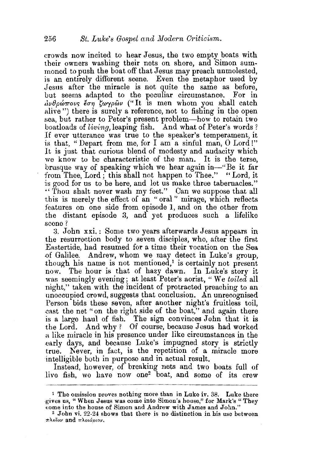crowds now incited to hear Jesus, the two empty boats with their owners washing their nets on shore, and Simon summoned to push the boat off that Jesus may preach unmolested, is an entirely diflerent scene. Even the metaphor used by Jesus after the miracle is not quite the same as before, but seems adapted to the peculiar circumstance. For in  $\partial \psi \theta$ pώπους έση ζωγρών ("It is men whom you shall catch alive ") there is surely a reference, not to fishing in the open sea, but rather to Peter's present problem-how to retain two boatloads of *living,* leaping fish. And what of Peter's words ? If ever utterance was true to the speaker's temperament, it is that, "Depart from me, for I am a sinful man,  $O$  Lord!" It is just that curious blend of modesty and audacity which we know to be characteristic of the man. It is the terse, brusque way of speaking which we hear again in-''Be it far from Thee, Lord; this shall not happen to Thee." "Lord, it is good for us to be here, and let us make three tabernacles." " Thou shalt never wash my feet." Can we suppose that all this is merely the effect of an " oral " mirage, which reflects features on one side from episode 1, and on the other from the distant episode 3, and yet produces such a lifelike scene?

3. John xxi. : Some two years afterwards Jesus appears in the resurrection body to seven disciples, who, after the first Eastertide, had resumed for a time their vocation on the Sea of Galilee. Andrew, whom we may detect in Luke's group, though his name is not mentioned.<sup>1</sup> is certainly not present now. The hour is that of hazy dawn. In Luke's story it was seemingly evening; at least Peter's aorist, " We *toiled* all night," taken with the incident of protracted preaching to an unoccupied crowd, suggests that conclusion. An unrecognised Person bids these seven, after another night's fruitless toil, .cast the net "on the right side of the boat," and again there is a large haul of fish. The sign convinces John that it is the Lord. And why? Of course, because Jesus had worked a like miracle in his presence under like circumstances in the early days, and because Luke's impugned story is strictly true. Never, in fact, is the repetition of a miracle more intelligible both in purpose and in actual result.

Instead, however, of breaking nets and two boats full of live fish, we have now one2 boat, and some of its crew

<sup>1</sup> The omission proves nothing more than in Luke iv. 38. Luke there gives us, "When Jesus was come into Simon's house," for Mark's" They

 $2$  John vi. 22-24 shows that there is no distinction in his use between  $\pi\lambda$ οΐον and  $\pi\lambda$ οιάριον.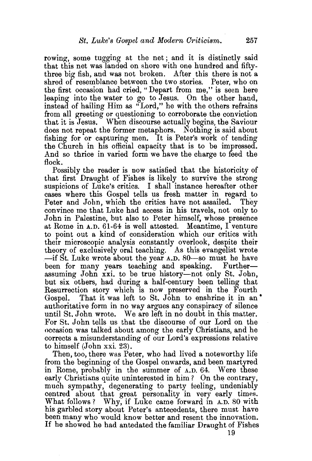rowing, some tugging at the net; and it is distinctly said that this net was landed on shore with one hundred and fiftythree big fish, and was not broken. After this there is not a shred of resemblance between the two stories. Peter, who on the first occasion had cried, "Depart from me," is seen here leaping into the water to go to Jesus. On the other hand, instead of hailing Him as "Lord," he with the others refrains from all greeting or questioning to corroborate the conviction that it is Jesus. When discourse actually begins, the Saviour does not repeat the former metaphors. Nothing is said about fishing for or capturing men. It is Peter's work of tending the Church in his official capacity that is to be impressed. And so thrice in varied form we have the charge to feed the flock.

Possibly the reader is now satisfied that the historicity of that first Draught of Fishes is likely to survive the strong suspicions of Luke's critics. I shall instance hereafter other cases where this Gospel tells us fresh matter in regard to Peter and John, which the critics have not assailed. convince me that Luke had access in his travels, not only to John in Palestine, but also to Peter himself, whose presence at Rome in A.D. 61-64 is well attested. Meantime, I venture to point out a kind of consideration which our critics with their microscopic analysis constantly overlook, despite their theory of exclusively oral teaching. As this evangelist wrote -if St. Luke wrote about the year A.D. 80-so must he have been for many years teaching and speaking. Furtherassuming John xxi. to be true history-not only St. John, but six others, had during a half-century been telling that Resurrection story which is now preserved in the Fourth Gospel. That it was left to St. John to enshrine it in an authoritative form in no way argues any conspiracy of silence until St. John wrote. We are left in no doubt in this matter. For St. John tells us that the discourse of our Lord on the occasion was talked about among the early Christians, and he corrects a misunderstanding of our Lord's expressions relative to himself (John xxi. 23).

Then, too, there was Peter, who had lived a noteworthy life from the beginning of the Gospel onwards, and been martyred in Rome, probably in the summer of A.D. 64. Were these early Christians quite uninterested in him? On the contrary, much sympathy, degenerating to party feeling, undeniably centred about that great personality in very early times. What follows? Why, if Luke came forward in A.D. 80 with his garbled story about Peter's antecedents, there must have been many who would know better and resent the innovation. If he showed he had antedated the familiar Draught of Fishes

19